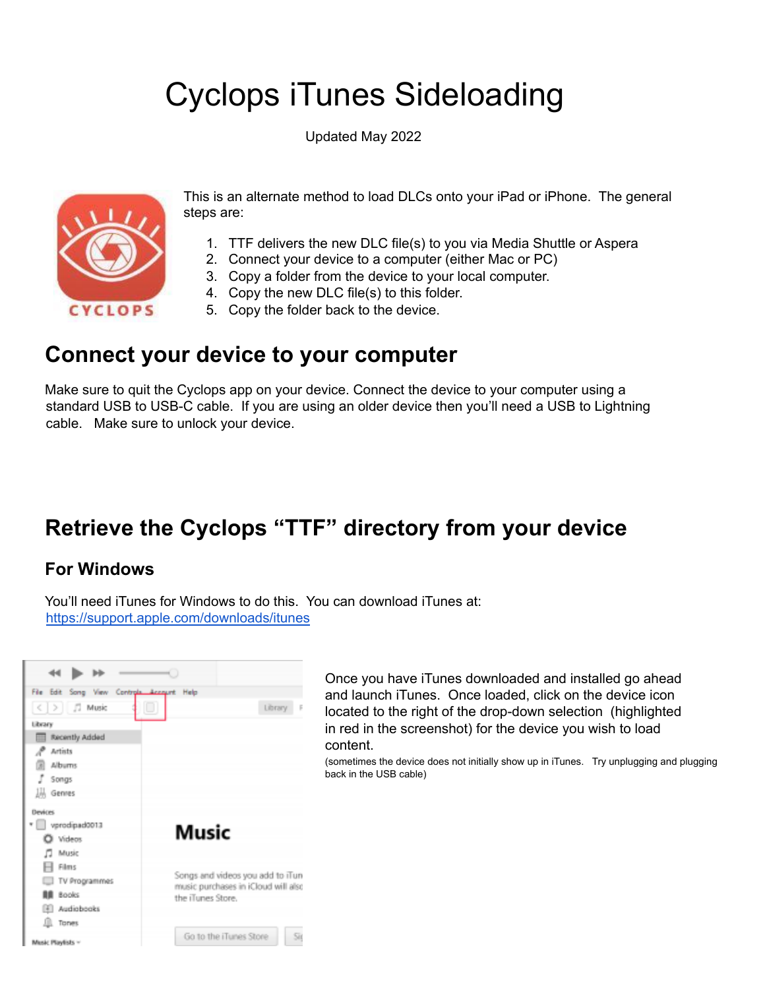# Cyclops iTunes Sideloading

Updated May 2022



This is an alternate method to load DLCs onto your iPad or iPhone. The general steps are:

- 1. TTF delivers the new DLC file(s) to you via Media Shuttle or Aspera
- 2. Connect your device to a computer (either Mac or PC)
- 3. Copy a folder from the device to your local computer.
- 4. Copy the new DLC file(s) to this folder.
- 5. Copy the folder back to the device.

#### **Connect your device to your computer**

Make sure to quit the Cyclops app on your device. Connect the device to your computer using a standard USB to USB-C cable. If you are using an older device then you'll need a USB to Lightning cable. Make sure to unlock your device.

# **Retrieve the Cyclops "TTF" directory from your device**

#### **For Windows**

You'll need iTunes for Windows to do this. You can download iTunes at: <https://support.apple.com/downloads/itunes>



Once you have iTunes downloaded and installed go ahead and launch iTunes. Once loaded, click on the device icon located to the right of the drop-down selection (highlighted in red in the screenshot) for the device you wish to load content.

(sometimes the device does not initially show up in iTunes. Try unplugging and plugging back in the USB cable)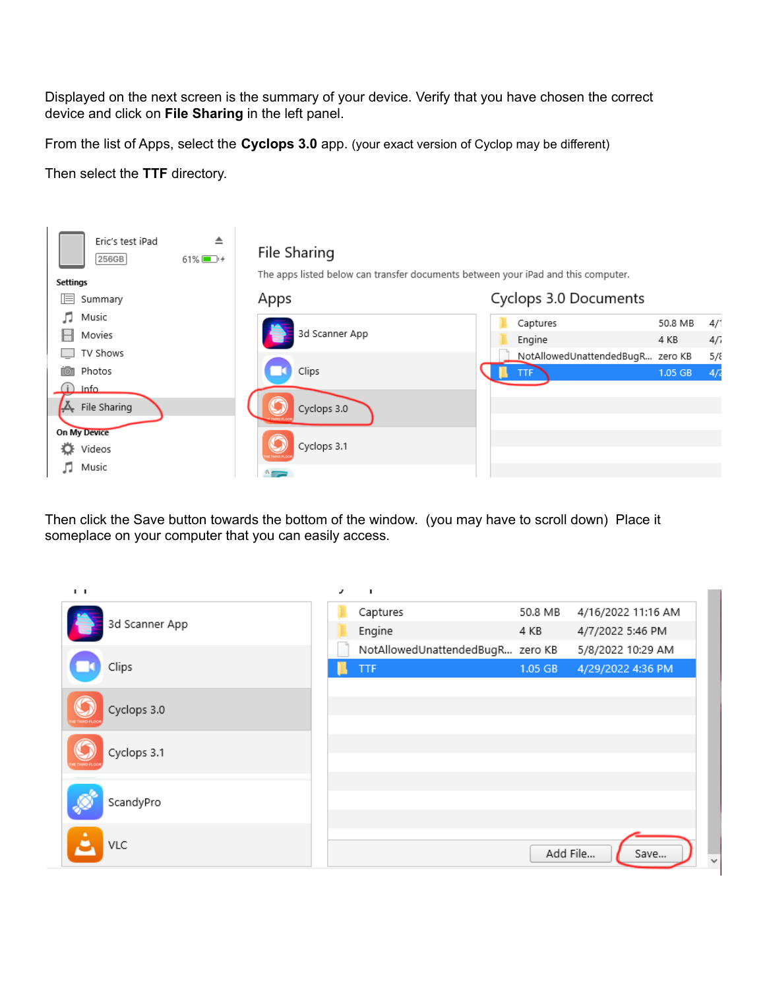Displayed on the next screen is the summary of your device. Verify that you have chosen the correct device and click on **File Sharing** in the left panel.

From the list of Apps, select the **Cyclops 3.0** app. (your exact version of Cyclop may be different)

Then select the **TTF** directory.



Then click the Save button towards the bottom of the window. (you may have to scroll down) Place it someplace on your computer that you can easily access.

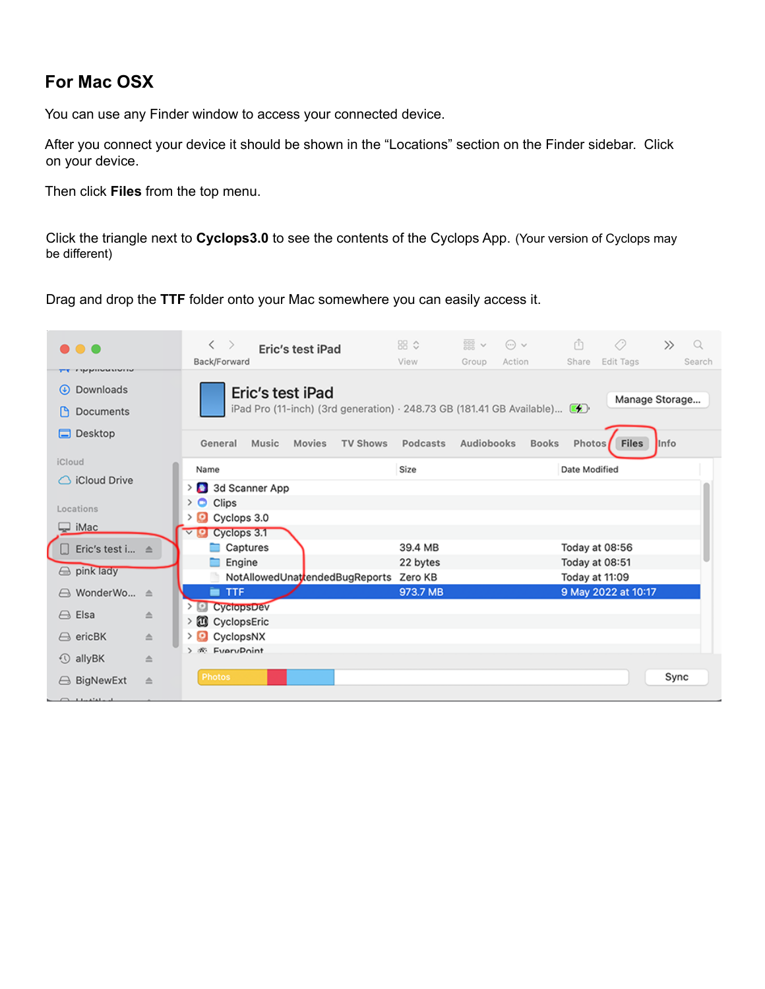#### **For Mac OSX**

You can use any Finder window to access your connected device.

After you connect your device it should be shown in the "Locations" section on the Finder sidebar. Click on your device.

Then click **Files** from the top menu.

Click the triangle next to **Cyclops3.0** to see the contents of the Cyclops App. (Your version of Cyclops may be different)

Drag and drop the **TTF** folder onto your Mac somewhere you can easily access it.

| <b>THERMANNING</b><br>Downloads<br>$\circledast$<br>Eric's test iPad<br>Manage Storage<br>iPad Pro (11-inch) (3rd generation) $\cdot$ 248.73 GB (181.41 GB Available) $\mathcal{L}$<br>Documents<br>ſ٩<br>Desktop<br>Е<br>Audiobooks<br><b>Files</b><br><b>TV Shows</b><br><b>Books</b><br>Photos<br>Music<br>Movies<br>Podcasts<br><b>Info</b><br>General<br>iCloud<br>Size<br>Date Modified<br>Name<br>iCloud Drive | Q<br>Search |
|-----------------------------------------------------------------------------------------------------------------------------------------------------------------------------------------------------------------------------------------------------------------------------------------------------------------------------------------------------------------------------------------------------------------------|-------------|
|                                                                                                                                                                                                                                                                                                                                                                                                                       |             |
|                                                                                                                                                                                                                                                                                                                                                                                                                       |             |
|                                                                                                                                                                                                                                                                                                                                                                                                                       |             |
| > 3d Scanner App                                                                                                                                                                                                                                                                                                                                                                                                      |             |
| $\rightarrow$ $\bullet$<br>Clips<br>Locations                                                                                                                                                                                                                                                                                                                                                                         |             |
| Cyclops 3.0<br>$\Box$ iMac<br>Cyclops 3.1<br>ъ<br>$\checkmark$                                                                                                                                                                                                                                                                                                                                                        |             |
| Captures<br>39.4 MB<br>Today at 08:56<br>Eric's test i ≜                                                                                                                                                                                                                                                                                                                                                              |             |
| Engine<br>Today at 08:51<br>22 bytes                                                                                                                                                                                                                                                                                                                                                                                  |             |
| sink lady<br>NotAllowedUnattendedBugReports Zero KB<br>Today at 11:09                                                                                                                                                                                                                                                                                                                                                 |             |
| 9 May 2022 at 10:17<br><b>TTF</b><br>973.7 MB<br>A WonderWo ≜<br>▬                                                                                                                                                                                                                                                                                                                                                    |             |
| > CyclopsDev                                                                                                                                                                                                                                                                                                                                                                                                          |             |
| Elsa<br>$\ominus$<br>≙<br>> 3 CyclopsEric                                                                                                                                                                                                                                                                                                                                                                             |             |
| CyclopsNX<br>$\ominus$ ericBK<br>> D<br>$\triangleq$                                                                                                                                                                                                                                                                                                                                                                  |             |
| > $\Re$ EveryPoint<br>$\circled{1}$ allyBK<br>$\triangleq$                                                                                                                                                                                                                                                                                                                                                            |             |
| Photos<br>Sync<br><b>△ BigNewExt</b><br>≙                                                                                                                                                                                                                                                                                                                                                                             |             |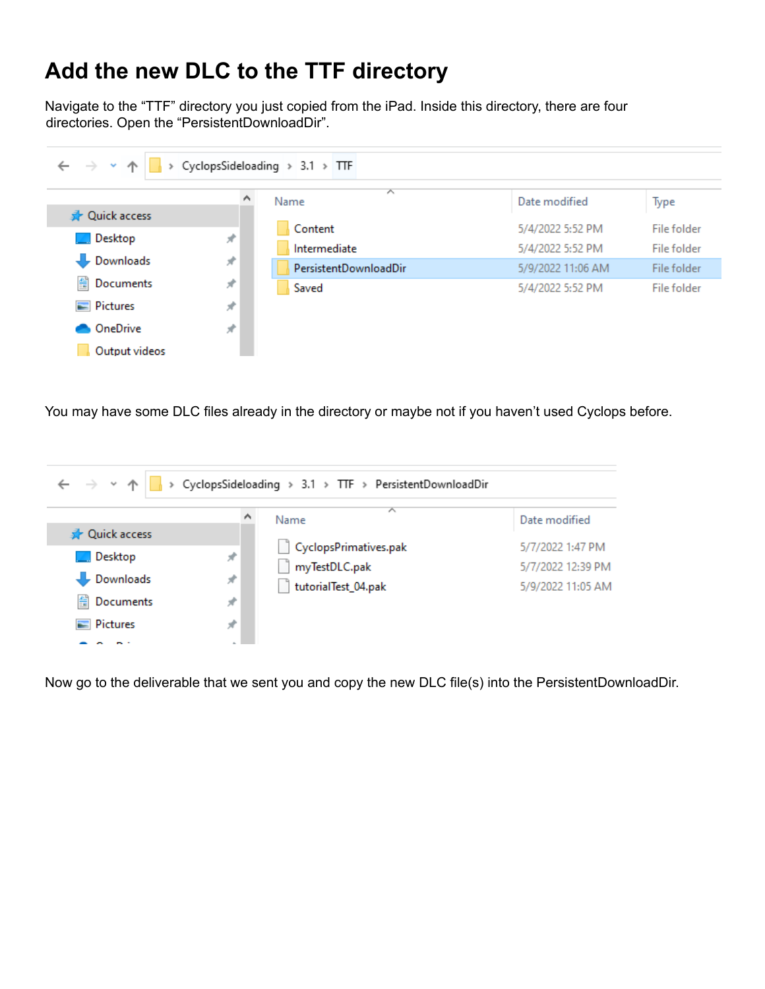### **Add the new DLC to the TTF directory**

Navigate to the "TTF" directory you just copied from the iPad. Inside this directory, there are four directories. Open the "PersistentDownloadDir".

| > CyclopsSideloading > 3.1 > TTF<br>$\leftarrow$ $\rightarrow$ $\sim$ |               |                       |                   |             |
|-----------------------------------------------------------------------|---------------|-----------------------|-------------------|-------------|
|                                                                       |               | ́<br>Name             | Date modified     | Type        |
| <b>A</b> Quick access                                                 |               |                       | 5/4/2022 5:52 PM  | File folder |
| Desktop                                                               | $\mathcal{R}$ | Content               |                   |             |
|                                                                       |               | Intermediate          | 5/4/2022 5:52 PM  | File folder |
| Downloads                                                             | À.            | PersistentDownloadDir | 5/9/2022 11:06 AM | File folder |
| 葟<br>Documents                                                        | ×             | Saved                 | 5/4/2022 5:52 PM  | File folder |
| $\blacksquare$ Pictures                                               | À.            |                       |                   |             |
| OneDrive                                                              | À.            |                       |                   |             |
| Output videos                                                         |               |                       |                   |             |

You may have some DLC files already in the directory or maybe not if you haven't used Cyclops before.

| $\leftarrow$ $\rightarrow$ $\rightarrow$ $\uparrow$ |       | > CyclopsSideloading > 3.1 > TTF > PersistentDownloadDir |                   |
|-----------------------------------------------------|-------|----------------------------------------------------------|-------------------|
| <b>A</b> Quick access                               |       | 木<br>Name                                                | Date modified     |
|                                                     |       | CyclopsPrimatives.pak                                    | 5/7/2022 1:47 PM  |
| Desktop                                             | À.    | myTestDLC.pak                                            | 5/7/2022 12:39 PM |
| Downloads                                           | $\pi$ | tutorialTest_04.pak                                      | 5/9/2022 11:05 AM |
| 曽<br>Documents                                      | À.    |                                                          |                   |
| $\blacksquare$ Pictures                             | ×.    |                                                          |                   |
|                                                     |       |                                                          |                   |

Now go to the deliverable that we sent you and copy the new DLC file(s) into the PersistentDownloadDir.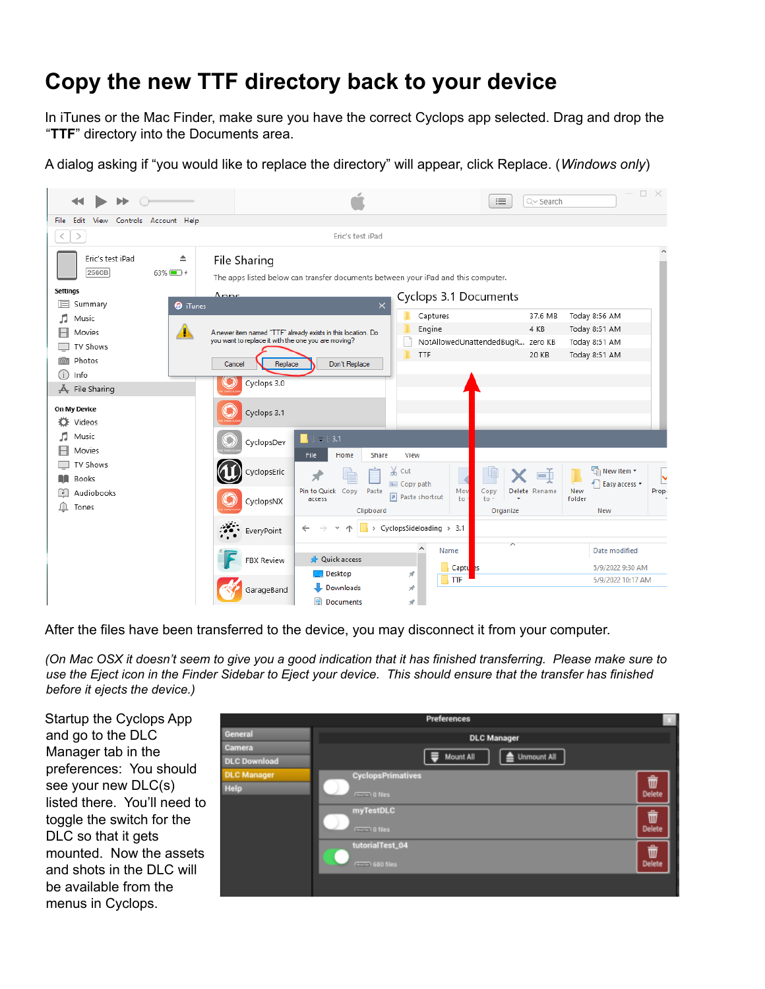## **Copy the new TTF directory back to your device**

In iTunes or the Mac Finder, make sure you have the correct Cyclops app selected. Drag and drop the "**TTF**" directory into the Documents area.

A dialog asking if "you would like to replace the directory" will appear, click Replace. (*Windows only*)

|                                                                      |                                                                                                                     |                                                                                   |                                   | Q~ Search<br>津                                      | $\Box$ $\times$                                 |
|----------------------------------------------------------------------|---------------------------------------------------------------------------------------------------------------------|-----------------------------------------------------------------------------------|-----------------------------------|-----------------------------------------------------|-------------------------------------------------|
| File<br>Edit<br>View<br>Controls Account Help                        |                                                                                                                     |                                                                                   |                                   |                                                     |                                                 |
|                                                                      |                                                                                                                     | Eric's test iPad                                                                  |                                   |                                                     |                                                 |
| Eric's test iPad<br>≜<br>256GB<br>$63\%$ $+$                         | File Sharing                                                                                                        | The apps listed below can transfer documents between your iPad and this computer. |                                   |                                                     |                                                 |
| <b>Settings</b><br>旧<br>Summary                                      | Anne                                                                                                                |                                                                                   | Cyclops 3.1 Documents             |                                                     |                                                 |
| <b>O</b> iTunes<br>л<br>Music<br>$\blacktriangle$<br>Movies          | A newer item named "TTF" already exists in this location. Do<br>you want to replace it with the one you are moving? | $\times$                                                                          | Captures<br>Engine                | 37.6 MB<br>4 KB<br>NotAllowedUnattendedBugR zero KB | Today 8:56 AM<br>Today 8:51 AM<br>Today 8:51 AM |
| TV Shows<br>Photos<br><b>TO</b><br>(i)<br>Info<br>File Sharing<br>Ā. | Cancel<br>Replace<br>Cyclops 3.0                                                                                    | Don't Replace                                                                     | TTF                               | 20 KB                                               | Today 8:51 AM                                   |
| On My Device<br>Videos<br>o                                          | Cyclops 3.1                                                                                                         |                                                                                   |                                   |                                                     |                                                 |
| п<br>Music<br>Movies                                                 | CyclopsDev                                                                                                          | $\overline{v}$   3.1<br><b>File</b><br>Home<br><b>Share</b>                       | View                              |                                                     |                                                 |
| TV Shows<br><b>Books</b>                                             | CyclopsEric                                                                                                         | ⊀                                                                                 | & Cut<br>W <sub>"</sub> Copy path | шħ                                                  | New item *<br>×<br>₹ <sup>"</sup> Easy access ▼ |
| Audiobooks<br>Œ<br>Tones                                             | CyclopsNX                                                                                                           | Pin to Quick Copy<br>Paste<br>access<br>Clipboard                                 | Mov<br>Paste shortcut<br>to       | Delete Rename<br>Copy<br>$to -$<br>Organize         | New<br>Prope<br>folder<br>New                   |
|                                                                      | $\mathcal{L}$ EveryPoint                                                                                            |                                                                                   | > CyclopsSideloading > 3.1        | ∧                                                   |                                                 |
|                                                                      | <b>FBX Review</b>                                                                                                   | <b>A</b> Quick access                                                             | ۸<br>Name<br>Captures             |                                                     | Date modified<br>5/9/2022 9:30 AM               |
|                                                                      | GarageBand                                                                                                          | $\Box$ Desktop<br>Downloads<br>图 Documents                                        | À<br>TTF<br>À<br>À                |                                                     | 5/9/2022 10:17 AM                               |

After the files have been transferred to the device, you may disconnect it from your computer.

(On Mac OSX it doesn't seem to give you a good indication that it has finished transferring. Please make sure to use the Eject icon in the Finder Sidebar to Eject your device. This should ensure that the transfer has finished *before it ejects the device.)*

Startup the Cyclops App and go to the DLC Manager tab in the preferences: You should see your new DLC(s) listed there. You'll need to toggle the switch for the DLC so that it gets mounted. Now the assets and shots in the DLC will be available from the menus in Cyclops.

|                     | <b>Preferences</b>                      |                    |
|---------------------|-----------------------------------------|--------------------|
| General             | <b>DLC Manager</b>                      |                    |
| Camera              |                                         |                    |
| <b>DLC Download</b> | Mount All<br><b>Unmount All</b><br>═    |                    |
| <b>DLC Manager</b>  | <b>CyclopsPrimatives</b>                | ŵ                  |
| <b>Help</b>         | $\overline{---}0$ files                 | <b>Delete</b>      |
|                     | myTestDLC<br>$\sqrt{1-\log n}$ 0 files  | û<br><b>Delete</b> |
|                     | tutorialTest_04<br>$\sqrt{1.560}$ files | 命<br>Delete        |
|                     |                                         |                    |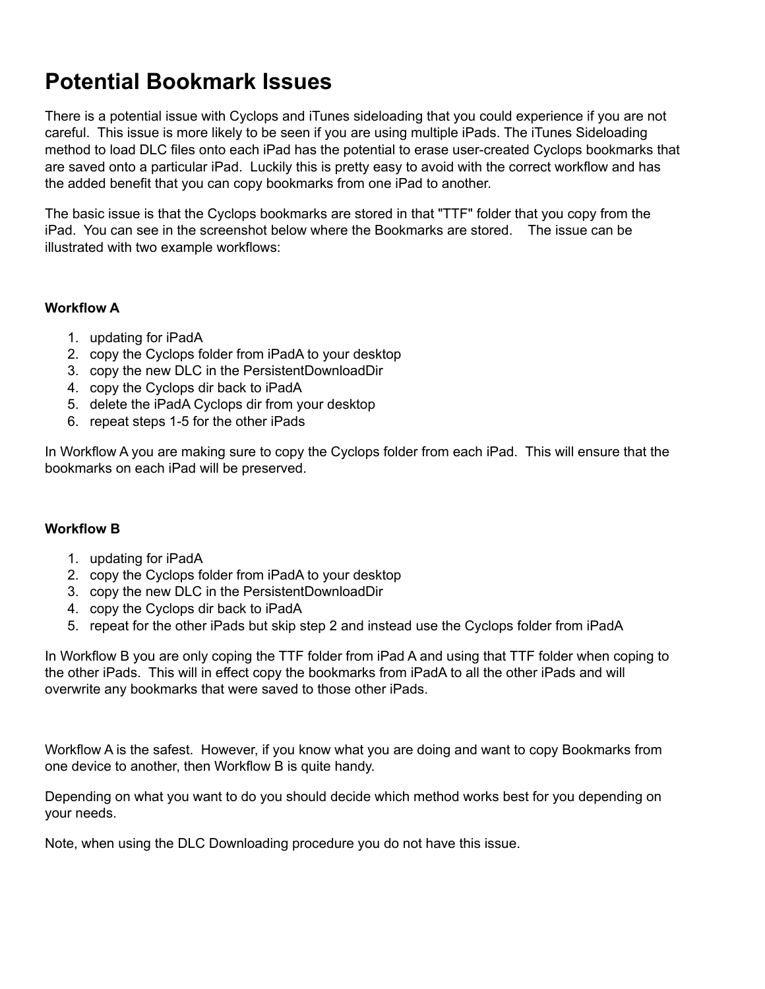### **Potential Bookmark Issues**

There is a potential issue with Cyclops and iTunes sideloading that you could experience if you are not careful. This issue is more likely to be seen if you are using multiple iPads. The iTunes Sideloading method to load DLC files onto each iPad has the potential to erase user-created Cyclops bookmarks that are saved onto a particular iPad. Luckily this is pretty easy to avoid with the correct workflow and has the added benefit that you can copy bookmarks from one iPad to another.

The basic issue is that the Cyclops bookmarks are stored in that "TTF" folder that you copy from the iPad. You can see in the screenshot below where the Bookmarks are stored. The issue can be illustrated with two example workflows:

#### **Workflow A**

- 1. updating for iPadA
- 2. copy the Cyclops folder from iPadA to your desktop
- 3. copy the new DLC in the PersistentDownloadDir
- 4. copy the Cyclops dir back to iPadA
- 5. delete the iPadA Cyclops dir from your desktop
- 6. repeat steps 1-5 for the other iPads

In Workflow A you are making sure to copy the Cyclops folder from each iPad. This will ensure that the bookmarks on each iPad will be preserved.

#### **Workflow B**

- 1. updating for iPadA
- 2. copy the Cyclops folder from iPadA to your desktop
- 3. copy the new DLC in the PersistentDownloadDir
- 4. copy the Cyclops dir back to iPadA
- 5. repeat for the other iPads but skip step 2 and instead use the Cyclops folder from iPadA

In Workflow B you are only coping the TTF folder from iPad A and using that TTF folder when coping to the other iPads. This will in effect copy the bookmarks from iPadA to all the other iPads and will overwrite any bookmarks that were saved to those other iPads.

Workflow A is the safest. However, if you know what you are doing and want to copy Bookmarks from one device to another, then Workflow B is quite handy.

Depending on what you want to do you should decide which method works best for you depending on your needs.

Note, when using the DLC Downloading procedure you do not have this issue.